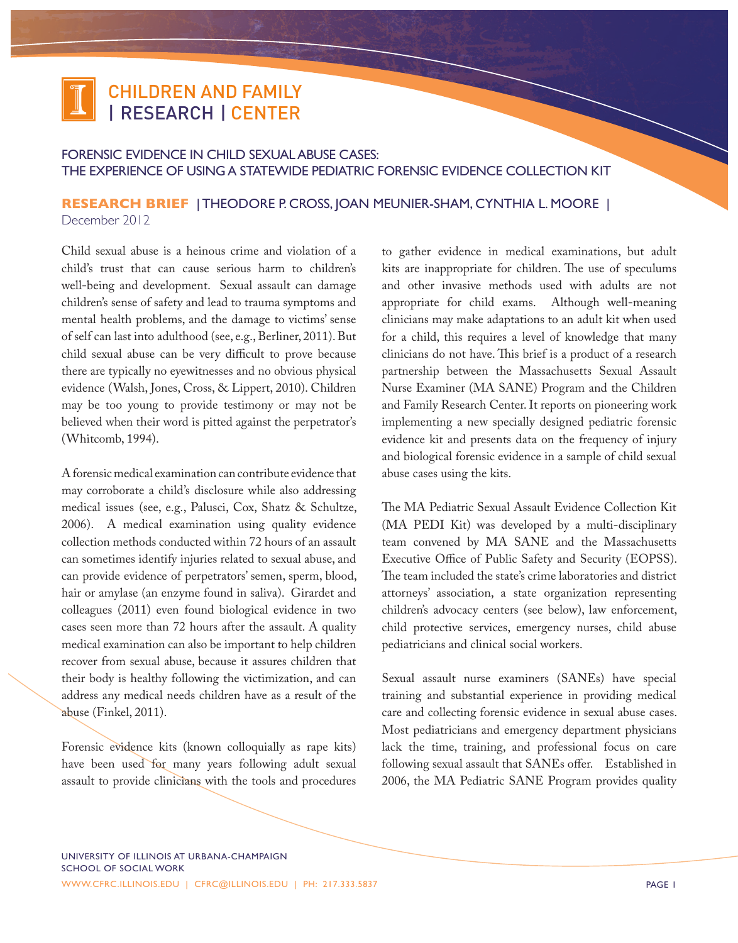

## Forensic Evidence in Child Sexual Abuse Cases: The Experience of Using a Statewide Pediatric Forensic Evidence Collection Kit

## **RESEARCH BRIEF** | Theodore P. Cross, Joan Meunier-Sham, Cynthia L. Moore | December 2012

Child sexual abuse is a heinous crime and violation of a child's trust that can cause serious harm to children's well-being and development. Sexual assault can damage children's sense of safety and lead to trauma symptoms and mental health problems, and the damage to victims' sense of self can last into adulthood (see, e.g., Berliner, 2011). But child sexual abuse can be very difficult to prove because there are typically no eyewitnesses and no obvious physical evidence (Walsh, Jones, Cross, & Lippert, 2010). Children may be too young to provide testimony or may not be believed when their word is pitted against the perpetrator's (Whitcomb, 1994).

A forensic medical examination can contribute evidence that may corroborate a child's disclosure while also addressing medical issues (see, e.g., Palusci, Cox, Shatz & Schultze, 2006). A medical examination using quality evidence collection methods conducted within 72 hours of an assault can sometimes identify injuries related to sexual abuse, and can provide evidence of perpetrators' semen, sperm, blood, hair or amylase (an enzyme found in saliva). Girardet and colleagues (2011) even found biological evidence in two cases seen more than 72 hours after the assault. A quality medical examination can also be important to help children recover from sexual abuse, because it assures children that their body is healthy following the victimization, and can address any medical needs children have as a result of the abuse (Finkel, 2011).

Forensic evidence kits (known colloquially as rape kits) have been used for many years following adult sexual assault to provide clinicians with the tools and procedures to gather evidence in medical examinations, but adult kits are inappropriate for children. The use of speculums and other invasive methods used with adults are not appropriate for child exams. Although well-meaning clinicians may make adaptations to an adult kit when used for a child, this requires a level of knowledge that many clinicians do not have. This brief is a product of a research partnership between the Massachusetts Sexual Assault Nurse Examiner (MA SANE) Program and the Children and Family Research Center. It reports on pioneering work implementing a new specially designed pediatric forensic evidence kit and presents data on the frequency of injury and biological forensic evidence in a sample of child sexual abuse cases using the kits.

The MA Pediatric Sexual Assault Evidence Collection Kit (MA PEDI Kit) was developed by a multi-disciplinary team convened by MA SANE and the Massachusetts Executive Office of Public Safety and Security (EOPSS). The team included the state's crime laboratories and district attorneys' association, a state organization representing children's advocacy centers (see below), law enforcement, child protective services, emergency nurses, child abuse pediatricians and clinical social workers.

Sexual assault nurse examiners (SANEs) have special training and substantial experience in providing medical care and collecting forensic evidence in sexual abuse cases. Most pediatricians and emergency department physicians lack the time, training, and professional focus on care following sexual assault that SANEs offer. Established in 2006, the MA Pediatric SANE Program provides quality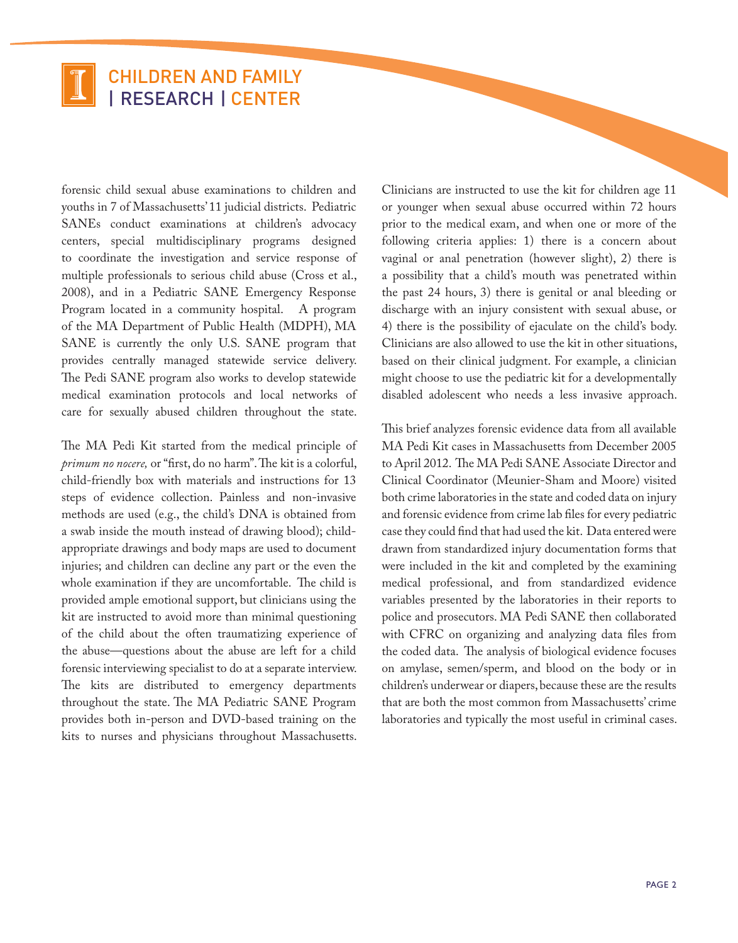forensic child sexual abuse examinations to children and youths in 7 of Massachusetts' 11 judicial districts. Pediatric SANEs conduct examinations at children's advocacy centers, special multidisciplinary programs designed to coordinate the investigation and service response of multiple professionals to serious child abuse (Cross et al., 2008), and in a Pediatric SANE Emergency Response Program located in a community hospital. A program of the MA Department of Public Health (MDPH), MA SANE is currently the only U.S. SANE program that provides centrally managed statewide service delivery. The Pedi SANE program also works to develop statewide medical examination protocols and local networks of care for sexually abused children throughout the state.

The MA Pedi Kit started from the medical principle of *primum no nocere,* or "first, do no harm". The kit is a colorful, child-friendly box with materials and instructions for 13 steps of evidence collection. Painless and non-invasive methods are used (e.g., the child's DNA is obtained from a swab inside the mouth instead of drawing blood); childappropriate drawings and body maps are used to document injuries; and children can decline any part or the even the whole examination if they are uncomfortable. The child is provided ample emotional support, but clinicians using the kit are instructed to avoid more than minimal questioning of the child about the often traumatizing experience of the abuse—questions about the abuse are left for a child forensic interviewing specialist to do at a separate interview. The kits are distributed to emergency departments throughout the state. The MA Pediatric SANE Program provides both in-person and DVD-based training on the kits to nurses and physicians throughout Massachusetts.

Clinicians are instructed to use the kit for children age 11 or younger when sexual abuse occurred within 72 hours prior to the medical exam, and when one or more of the following criteria applies: 1) there is a concern about vaginal or anal penetration (however slight), 2) there is a possibility that a child's mouth was penetrated within the past 24 hours, 3) there is genital or anal bleeding or discharge with an injury consistent with sexual abuse, or 4) there is the possibility of ejaculate on the child's body. Clinicians are also allowed to use the kit in other situations, based on their clinical judgment. For example, a clinician might choose to use the pediatric kit for a developmentally disabled adolescent who needs a less invasive approach.

This brief analyzes forensic evidence data from all available MA Pedi Kit cases in Massachusetts from December 2005 to April 2012. The MA Pedi SANE Associate Director and Clinical Coordinator (Meunier-Sham and Moore) visited both crime laboratories in the state and coded data on injury and forensic evidence from crime lab files for every pediatric case they could find that had used the kit. Data entered were drawn from standardized injury documentation forms that were included in the kit and completed by the examining medical professional, and from standardized evidence variables presented by the laboratories in their reports to police and prosecutors. MA Pedi SANE then collaborated with CFRC on organizing and analyzing data files from the coded data. The analysis of biological evidence focuses on amylase, semen/sperm, and blood on the body or in children's underwear or diapers, because these are the results that are both the most common from Massachusetts' crime laboratories and typically the most useful in criminal cases.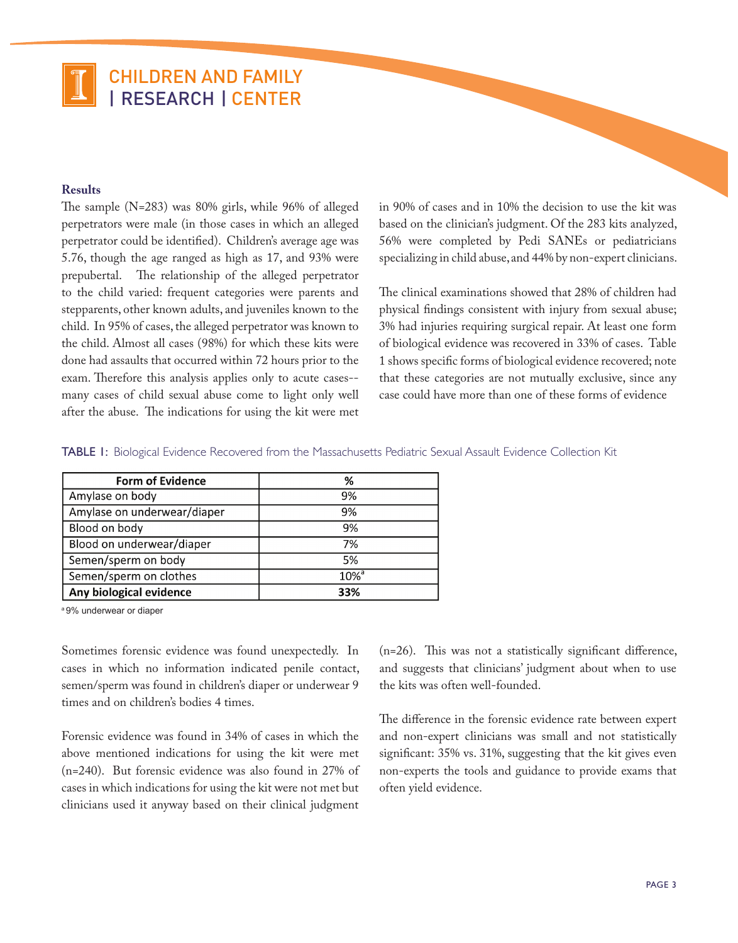### **Results**

The sample (N=283) was 80% girls, while 96% of alleged perpetrators were male (in those cases in which an alleged perpetrator could be identified). Children's average age was 5.76, though the age ranged as high as 17, and 93% were prepubertal. The relationship of the alleged perpetrator to the child varied: frequent categories were parents and stepparents, other known adults, and juveniles known to the child. In 95% of cases, the alleged perpetrator was known to the child. Almost all cases (98%) for which these kits were done had assaults that occurred within 72 hours prior to the exam. Therefore this analysis applies only to acute cases- many cases of child sexual abuse come to light only well after the abuse. The indications for using the kit were met in 90% of cases and in 10% the decision to use the kit was based on the clinician's judgment. Of the 283 kits analyzed, 56% were completed by Pedi SANEs or pediatricians specializing in child abuse, and 44% by non-expert clinicians.

The clinical examinations showed that 28% of children had physical findings consistent with injury from sexual abuse; 3% had injuries requiring surgical repair. At least one form of biological evidence was recovered in 33% of cases. Table 1 shows specific forms of biological evidence recovered; note that these categories are not mutually exclusive, since any case could have more than one of these forms of evidence

TABLE 1: Biological Evidence Recovered from the Massachusetts Pediatric Sexual Assault Evidence Collection Kit

| <b>Form of Evidence</b>     | %                   |
|-----------------------------|---------------------|
| Amylase on body             | 9%                  |
| Amylase on underwear/diaper | 9%                  |
| Blood on body               | 9%                  |
| Blood on underwear/diaper   | 7%                  |
| Semen/sperm on body         | 5%                  |
| Semen/sperm on clothes      | $10\%$ <sup>a</sup> |
| Any biological evidence     | 33%                 |

a 9% underwear or diaper

Sometimes forensic evidence was found unexpectedly. In cases in which no information indicated penile contact, semen/sperm was found in children's diaper or underwear 9 times and on children's bodies 4 times.

Forensic evidence was found in 34% of cases in which the above mentioned indications for using the kit were met (n=240). But forensic evidence was also found in 27% of cases in which indications for using the kit were not met but clinicians used it anyway based on their clinical judgment

(n=26). This was not a statistically significant difference, and suggests that clinicians' judgment about when to use the kits was often well-founded.

The difference in the forensic evidence rate between expert and non-expert clinicians was small and not statistically significant: 35% vs. 31%, suggesting that the kit gives even non-experts the tools and guidance to provide exams that often yield evidence.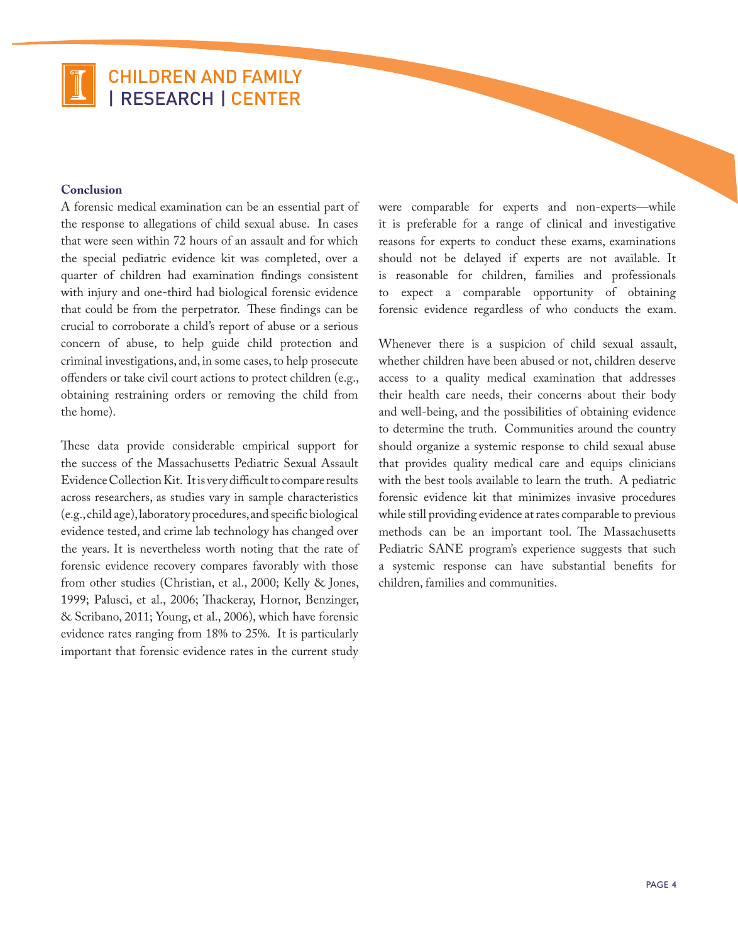### **Conclusion**

A forensic medical examination can be an essential part of the response to allegations of child sexual abuse. In cases that were seen within 72 hours of an assault and for which the special pediatric evidence kit was completed, over a quarter of children had examination findings consistent with injury and one-third had biological forensic evidence that could be from the perpetrator. These findings can be crucial to corroborate a child's report of abuse or a serious concern of abuse, to help guide child protection and criminal investigations, and, in some cases, to help prosecute offenders or take civil court actions to protect children (e.g., obtaining restraining orders or removing the child from the home).

These data provide considerable empirical support for the success of the Massachusetts Pediatric Sexual Assault Evidence Collection Kit. It is very difficult to compare results across researchers, as studies vary in sample characteristics (e.g., child age), laboratory procedures, and specific biological evidence tested, and crime lab technology has changed over the years. It is nevertheless worth noting that the rate of forensic evidence recovery compares favorably with those from other studies (Christian, et al., 2000; Kelly & Jones, 1999; Palusci, et al., 2006; Thackeray, Hornor, Benzinger, & Scribano, 2011; Young, et al., 2006), which have forensic evidence rates ranging from 18% to 25%. It is particularly important that forensic evidence rates in the current study

were comparable for experts and non-experts—while it is preferable for a range of clinical and investigative reasons for experts to conduct these exams, examinations should not be delayed if experts are not available. It is reasonable for children, families and professionals to expect a comparable opportunity of obtaining forensic evidence regardless of who conducts the exam.

Whenever there is a suspicion of child sexual assault, whether children have been abused or not, children deserve access to a quality medical examination that addresses their health care needs, their concerns about their body and well-being, and the possibilities of obtaining evidence to determine the truth. Communities around the country should organize a systemic response to child sexual abuse that provides quality medical care and equips clinicians with the best tools available to learn the truth. A pediatric forensic evidence kit that minimizes invasive procedures while still providing evidence at rates comparable to previous methods can be an important tool. The Massachusetts Pediatric SANE program's experience suggests that such a systemic response can have substantial benefits for children, families and communities.